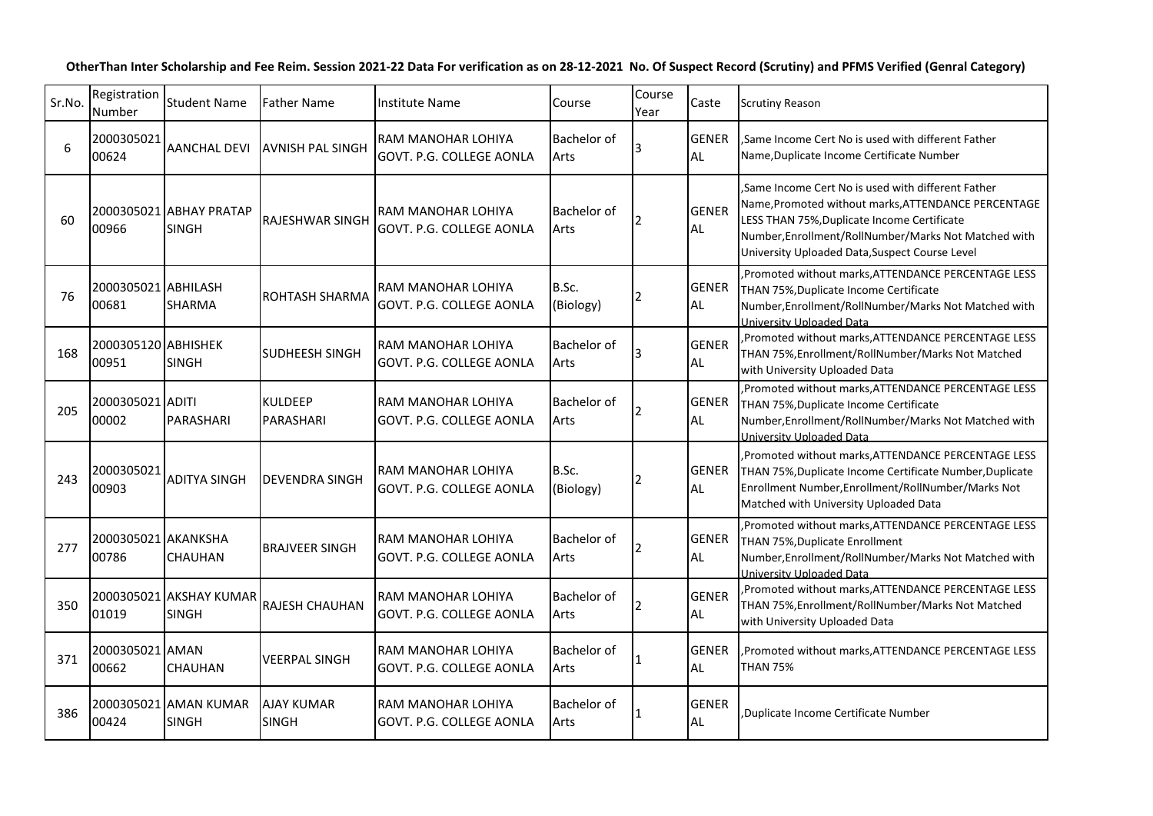## **OtherThan Inter Scholarship and Fee Reim. Session 2021-22 Data For verification as on 28-12-2021 No. Of Suspect Record (Scrutiny) and PFMS Verified (Genral Category)**

| Sr.No. | Registration<br>Number       | <b>Student Name</b>                     | Father Name                       | <b>Institute Name</b>                                 | Course              | Course<br>Year | Caste                     | <b>Scrutiny Reason</b>                                                                                                                                                                                                                                             |
|--------|------------------------------|-----------------------------------------|-----------------------------------|-------------------------------------------------------|---------------------|----------------|---------------------------|--------------------------------------------------------------------------------------------------------------------------------------------------------------------------------------------------------------------------------------------------------------------|
| 6      | 2000305021<br>00624          | <b>AANCHAL DEVI</b>                     | <b>AVNISH PAL SINGH</b>           | RAM MANOHAR LOHIYA<br><b>GOVT. P.G. COLLEGE AONLA</b> | Bachelor of<br>Arts |                | <b>GENER</b><br>AL        | Same Income Cert No is used with different Father<br>Name, Duplicate Income Certificate Number                                                                                                                                                                     |
| 60     | 00966                        | 2000305021 ABHAY PRATAP<br><b>SINGH</b> | <b>RAJESHWAR SINGH</b>            | RAM MANOHAR LOHIYA<br>GOVT. P.G. COLLEGE AONLA        | Bachelor of<br>Arts |                | <b>GENER</b><br><b>AL</b> | Same Income Cert No is used with different Father.<br>Name, Promoted without marks, ATTENDANCE PERCENTAGE<br>LESS THAN 75%, Duplicate Income Certificate<br>Number, Enrollment/RollNumber/Marks Not Matched with<br>University Uploaded Data, Suspect Course Level |
| 76     | 2000305021 ABHILASH<br>00681 | SHARMA                                  | ROHTASH SHARMA                    | RAM MANOHAR LOHIYA<br>GOVT. P.G. COLLEGE AONLA        | B.Sc.<br>(Biology)  |                | <b>GENER</b><br>AL.       | , Promoted without marks, ATTENDANCE PERCENTAGE LESS<br>THAN 75%, Duplicate Income Certificate<br>Number, Enrollment/RollNumber/Marks Not Matched with<br>University Uploaded Data                                                                                 |
| 168    | 2000305120 ABHISHEK<br>00951 | <b>SINGH</b>                            | SUDHEESH SINGH                    | RAM MANOHAR LOHIYA<br>GOVT. P.G. COLLEGE AONLA        | Bachelor of<br>Arts |                | <b>GENER</b><br>AL        | Promoted without marks, ATTENDANCE PERCENTAGE LESS<br>THAN 75%, Enrollment/RollNumber/Marks Not Matched<br>with University Uploaded Data                                                                                                                           |
| 205    | 2000305021 ADITI<br>00002    | PARASHARI                               | <b>KULDEEP</b><br>PARASHARI       | RAM MANOHAR LOHIYA<br>GOVT. P.G. COLLEGE AONLA        | Bachelor of<br>Arts |                | <b>GENER</b><br><b>AL</b> | , Promoted without marks, ATTENDANCE PERCENTAGE LESS<br>THAN 75%, Duplicate Income Certificate<br>Number, Enrollment/RollNumber/Marks Not Matched with<br>University Uploaded Data                                                                                 |
| 243    | 2000305021<br>00903          | <b>ADITYA SINGH</b>                     | DEVENDRA SINGH                    | RAM MANOHAR LOHIYA<br>GOVT. P.G. COLLEGE AONLA        | B.Sc.<br>(Biology)  | 2              | <b>GENER</b><br>AL        | , Promoted without marks, ATTENDANCE PERCENTAGE LESS<br>THAN 75%, Duplicate Income Certificate Number, Duplicate<br>Enrollment Number, Enrollment/RollNumber/Marks Not<br>Matched with University Uploaded Data                                                    |
| 277    | 2000305021 AKANKSHA<br>00786 | CHAUHAN                                 | <b>BRAJVEER SINGH</b>             | RAM MANOHAR LOHIYA<br>GOVT. P.G. COLLEGE AONLA        | Bachelor of<br>Arts | 2              | <b>GENER</b><br>AL.       | , Promoted without marks, ATTENDANCE PERCENTAGE LESS<br>THAN 75%, Duplicate Enrollment<br>Number, Enrollment/RollNumber/Marks Not Matched with<br>University Uploaded Data                                                                                         |
| 350    | 01019                        | 2000305021 AKSHAY KUMAR<br><b>SINGH</b> | <b>RAJESH CHAUHAN</b>             | RAM MANOHAR LOHIYA<br>GOVT. P.G. COLLEGE AONLA        | Bachelor of<br>Arts |                | <b>GENER</b><br><b>AL</b> | , Promoted without marks, ATTENDANCE PERCENTAGE LESS<br>THAN 75%, Enrollment/RollNumber/Marks Not Matched<br>with University Uploaded Data                                                                                                                         |
| 371    | 2000305021 AMAN<br>00662     | CHAUHAN                                 | VEERPAL SINGH                     | RAM MANOHAR LOHIYA<br>GOVT. P.G. COLLEGE AONLA        | Bachelor of<br>Arts |                | <b>GENER</b><br>AL        | , Promoted without marks, ATTENDANCE PERCENTAGE LESS<br><b>THAN 75%</b>                                                                                                                                                                                            |
| 386    | 00424                        | 2000305021 AMAN KUMAR<br><b>SINGH</b>   | <b>AJAY KUMAR</b><br><b>SINGH</b> | RAM MANOHAR LOHIYA<br>GOVT. P.G. COLLEGE AONLA        | Bachelor of<br>Arts |                | <b>GENER</b><br>AL.       | Duplicate Income Certificate Number                                                                                                                                                                                                                                |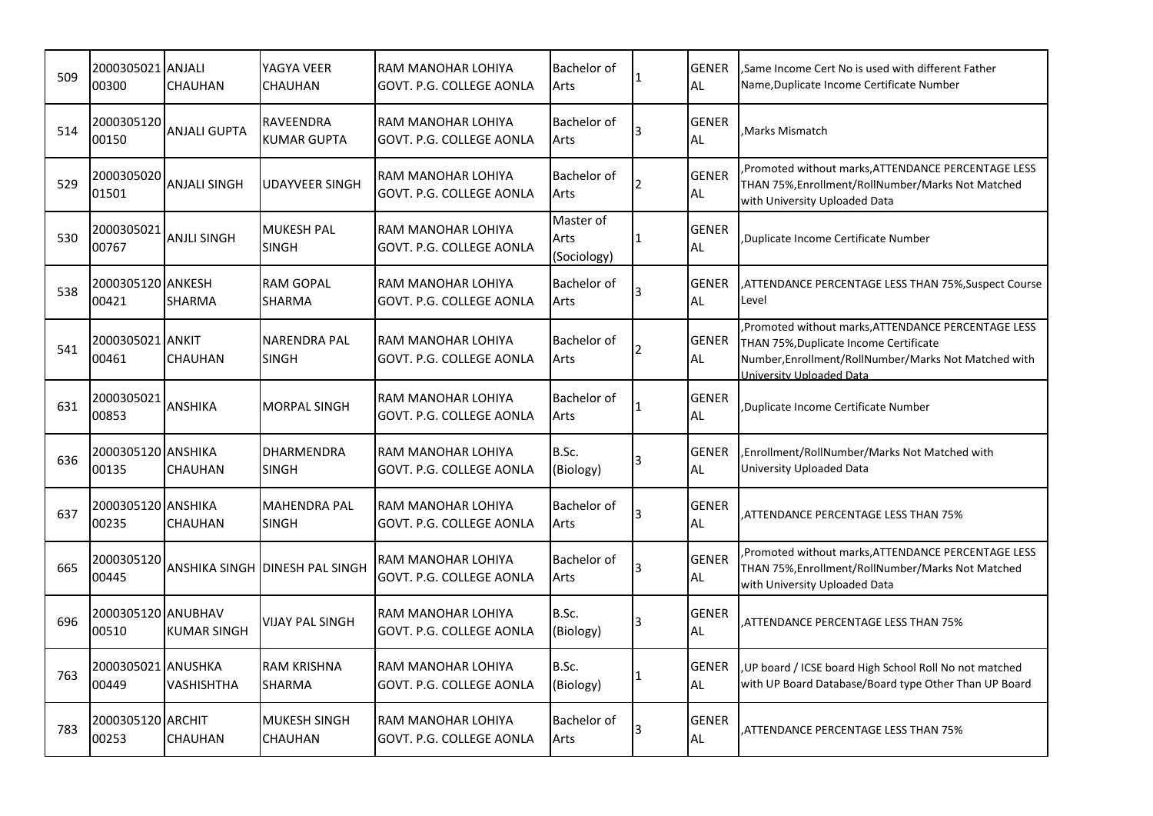| 509 | 2000305021 ANJALI<br>00300           | <b>CHAUHAN</b>      | YAGYA VEER<br><b>CHAUHAN</b>           | RAM MANOHAR LOHIYA<br>GOVT. P.G. COLLEGE AONLA | <b>Bachelor of</b><br>Arts       | <b>GENER</b><br><b>AL</b> | Same Income Cert No is used with different Father.<br>Name, Duplicate Income Certificate Number                                                                                  |
|-----|--------------------------------------|---------------------|----------------------------------------|------------------------------------------------|----------------------------------|---------------------------|----------------------------------------------------------------------------------------------------------------------------------------------------------------------------------|
| 514 | 2000305120<br>00150                  | <b>ANJALI GUPTA</b> | <b>RAVEENDRA</b><br><b>KUMAR GUPTA</b> | RAM MANOHAR LOHIYA<br>GOVT. P.G. COLLEGE AONLA | Bachelor of<br>Arts              | <b>GENER</b><br><b>AL</b> | Marks Mismatch                                                                                                                                                                   |
| 529 | 2000305020<br>01501                  | <b>ANJALI SINGH</b> | <b>UDAYVEER SINGH</b>                  | RAM MANOHAR LOHIYA<br>GOVT. P.G. COLLEGE AONLA | Bachelor of<br>Arts              | <b>GENER</b><br><b>AL</b> | Promoted without marks, ATTENDANCE PERCENTAGE LESS<br>THAN 75%, Enrollment/RollNumber/Marks Not Matched<br>with University Uploaded Data                                         |
| 530 | 2000305021<br>00767                  | <b>ANJLI SINGH</b>  | <b>MUKESH PAL</b><br><b>SINGH</b>      | RAM MANOHAR LOHIYA<br>GOVT. P.G. COLLEGE AONLA | Master of<br>Arts<br>(Sociology) | <b>GENER</b><br><b>AL</b> | Duplicate Income Certificate Number                                                                                                                                              |
| 538 | 2000305120 ANKESH<br>00421           | <b>SHARMA</b>       | <b>RAM GOPAL</b><br><b>SHARMA</b>      | RAM MANOHAR LOHIYA<br>GOVT. P.G. COLLEGE AONLA | <b>Bachelor</b> of<br>Arts       | <b>GENER</b><br><b>AL</b> | ATTENDANCE PERCENTAGE LESS THAN 75%, Suspect Course<br>Level                                                                                                                     |
| 541 | 2000305021 ANKIT<br>00461            | <b>CHAUHAN</b>      | NARENDRA PAL<br><b>SINGH</b>           | RAM MANOHAR LOHIYA<br>GOVT. P.G. COLLEGE AONLA | Bachelor of<br>Arts              | <b>GENER</b><br><b>AL</b> | Promoted without marks, ATTENDANCE PERCENTAGE LESS<br>THAN 75%, Duplicate Income Certificate<br>Number, Enrollment/RollNumber/Marks Not Matched with<br>University Unloaded Data |
| 631 | 2000305021<br>00853                  | <b>ANSHIKA</b>      | MORPAL SINGH                           | RAM MANOHAR LOHIYA<br>GOVT. P.G. COLLEGE AONLA | <b>Bachelor of</b><br>Arts       | <b>GENER</b><br><b>AL</b> | Duplicate Income Certificate Number                                                                                                                                              |
| 636 | 2000305120 ANSHIKA<br>00135          | <b>CHAUHAN</b>      | <b>DHARMENDRA</b><br><b>SINGH</b>      | RAM MANOHAR LOHIYA<br>GOVT. P.G. COLLEGE AONLA | B.Sc.<br>(Biology)               | <b>GENER</b><br><b>AL</b> | Enrollment/RollNumber/Marks Not Matched with<br>University Uploaded Data                                                                                                         |
| 637 | 2000305120 <b>J</b> ANSHIKA<br>00235 | <b>CHAUHAN</b>      | <b>MAHENDRA PAL</b><br><b>SINGH</b>    | RAM MANOHAR LOHIYA<br>GOVT. P.G. COLLEGE AONLA | Bachelor of<br>Arts              | <b>GENER</b><br><b>AL</b> | ATTENDANCE PERCENTAGE LESS THAN 75%                                                                                                                                              |
| 665 | 2000305120<br>00445                  |                     | ANSHIKA SINGH IDINESH PAL SINGH        | RAM MANOHAR LOHIYA<br>GOVT. P.G. COLLEGE AONLA | Bachelor of<br>Arts              | <b>GENER</b><br><b>AL</b> | Promoted without marks, ATTENDANCE PERCENTAGE LESS<br>THAN 75%, Enrollment/RollNumber/Marks Not Matched<br>with University Uploaded Data                                         |
| 696 | 2000305120 ANUBHAV<br>00510          | <b>KUMAR SINGH</b>  | <b>VIJAY PAL SINGH</b>                 | RAM MANOHAR LOHIYA<br>GOVT. P.G. COLLEGE AONLA | B.Sc.<br>(Biology)               | <b>GENER</b><br><b>AL</b> | ATTENDANCE PERCENTAGE LESS THAN 75%                                                                                                                                              |
| 763 | 2000305021 ANUSHKA<br>00449          | VASHISHTHA          | <b>RAM KRISHNA</b><br><b>SHARMA</b>    | RAM MANOHAR LOHIYA<br>GOVT. P.G. COLLEGE AONLA | B.Sc.<br>(Biology)               | <b>GENER</b><br><b>AL</b> | UP board / ICSE board High School Roll No not matched<br>with UP Board Database/Board type Other Than UP Board                                                                   |
| 783 | 2000305120 ARCHIT<br>00253           | <b>CHAUHAN</b>      | lMUKESH SINGH<br><b>CHAUHAN</b>        | RAM MANOHAR LOHIYA<br>GOVT. P.G. COLLEGE AONLA | <b>Bachelor</b> of<br>Arts       | <b>GENER</b><br><b>AL</b> | ATTENDANCE PERCENTAGE LESS THAN 75%                                                                                                                                              |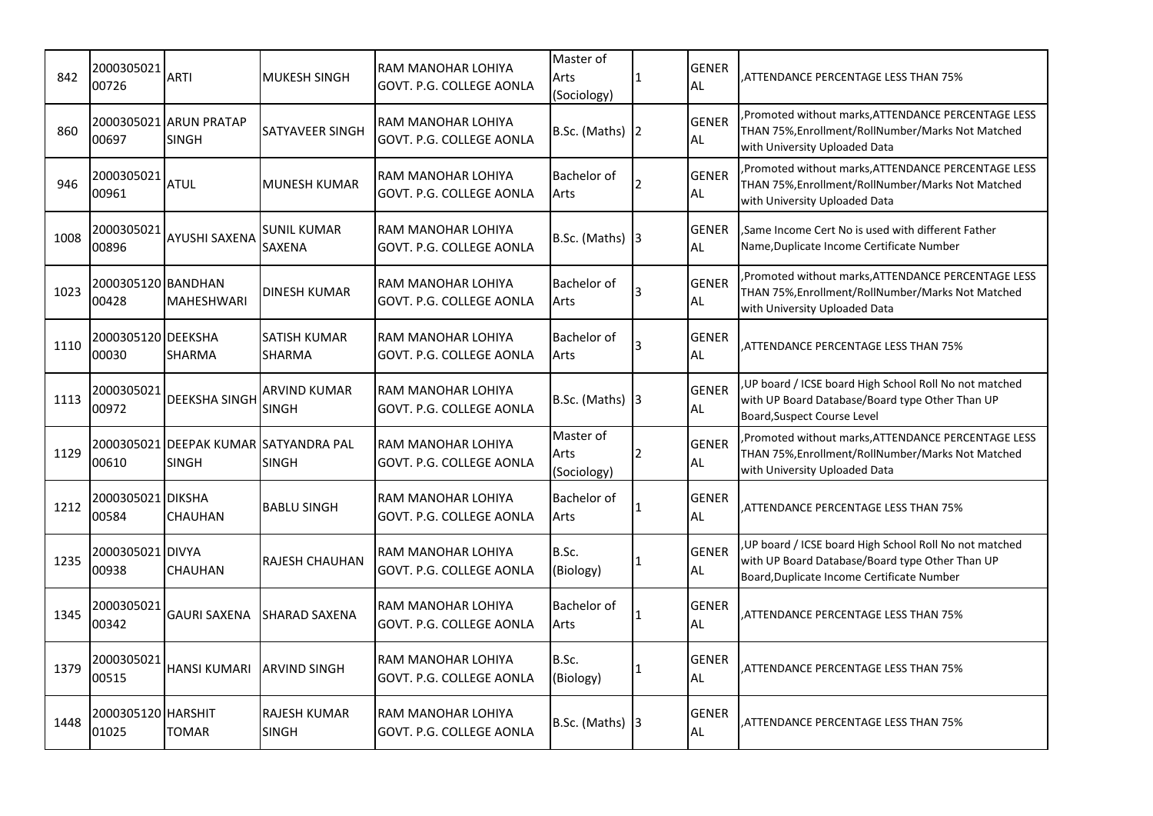| 842  | 2000305021<br>00726         | <b>ARTI</b>                                           | <b>MUKESH SINGH</b>                  | RAM MANOHAR LOHIYA<br>GOVT. P.G. COLLEGE AONLA | Master of<br>Arts<br>(Sociology) | 11           | <b>GENER</b><br>AL        | ATTENDANCE PERCENTAGE LESS THAN 75%                                                                                                                      |
|------|-----------------------------|-------------------------------------------------------|--------------------------------------|------------------------------------------------|----------------------------------|--------------|---------------------------|----------------------------------------------------------------------------------------------------------------------------------------------------------|
| 860  | 00697                       | 2000305021 ARUN PRATAP<br><b>SINGH</b>                | <b>SATYAVEER SINGH</b>               | RAM MANOHAR LOHIYA<br>GOVT. P.G. COLLEGE AONLA | B.Sc. (Maths) $\vert$ 2          |              | <b>GENER</b><br><b>AL</b> | Promoted without marks, ATTENDANCE PERCENTAGE LESS<br>THAN 75%, Enrollment/RollNumber/Marks Not Matched<br>with University Uploaded Data                 |
| 946  | 2000305021<br>00961         | <b>ATUL</b>                                           | <b>MUNESH KUMAR</b>                  | RAM MANOHAR LOHIYA<br>GOVT. P.G. COLLEGE AONLA | Bachelor of<br>Arts              |              | <b>GENER</b><br><b>AL</b> | Promoted without marks, ATTENDANCE PERCENTAGE LESS<br>THAN 75%, Enrollment/RollNumber/Marks Not Matched<br>with University Uploaded Data                 |
| 1008 | 2000305021<br>00896         | <b>AYUSHI SAXENA</b>                                  | <b>SUNIL KUMAR</b><br><b>SAXENA</b>  | RAM MANOHAR LOHIYA<br>GOVT. P.G. COLLEGE AONLA | B.Sc. (Maths) $3$                |              | <b>GENER</b><br>AL        | Same Income Cert No is used with different Father<br>Name, Duplicate Income Certificate Number                                                           |
| 1023 | 2000305120 BANDHAN<br>00428 | <b>MAHESHWARI</b>                                     | <b>DINESH KUMAR</b>                  | RAM MANOHAR LOHIYA<br>GOVT. P.G. COLLEGE AONLA | Bachelor of<br>Arts              |              | <b>GENER</b><br>AL        | Promoted without marks, ATTENDANCE PERCENTAGE LESS<br>THAN 75%, Enrollment/RollNumber/Marks Not Matched<br>with University Uploaded Data                 |
| 1110 | 2000305120 DEEKSHA<br>00030 | <b>SHARMA</b>                                         | <b>SATISH KUMAR</b><br><b>SHARMA</b> | RAM MANOHAR LOHIYA<br>GOVT. P.G. COLLEGE AONLA | Bachelor of<br>Arts              |              | <b>GENER</b><br>AL        | ATTENDANCE PERCENTAGE LESS THAN 75%.                                                                                                                     |
| 1113 | 2000305021<br>00972         | <b>DEEKSHA SINGH</b>                                  | <b>ARVIND KUMAR</b><br><b>SINGH</b>  | RAM MANOHAR LOHIYA<br>GOVT. P.G. COLLEGE AONLA | B.Sc. (Maths) $ 3 $              |              | <b>GENER</b><br>AL.       | , UP board / ICSE board High School Roll No not matched<br>with UP Board Database/Board type Other Than UP<br>Board, Suspect Course Level                |
| 1129 | 00610                       | 2000305021 DEEPAK KUMAR SATYANDRA PAL<br><b>SINGH</b> | <b>SINGH</b>                         | RAM MANOHAR LOHIYA<br>GOVT. P.G. COLLEGE AONLA | Master of<br>Arts<br>(Sociology) | 2            | <b>GENER</b><br><b>AL</b> | Promoted without marks, ATTENDANCE PERCENTAGE LESS<br>THAN 75%, Enrollment/RollNumber/Marks Not Matched<br>with University Uploaded Data                 |
| 1212 | 2000305021 DIKSHA<br>00584  | <b>CHAUHAN</b>                                        | <b>BABLU SINGH</b>                   | RAM MANOHAR LOHIYA<br>GOVT. P.G. COLLEGE AONLA | Bachelor of<br>Arts              | l 1          | <b>GENER</b><br><b>AL</b> | ATTENDANCE PERCENTAGE LESS THAN 75%.                                                                                                                     |
| 1235 | 2000305021 DIVYA<br>00938   | <b>CHAUHAN</b>                                        | <b>RAJESH CHAUHAN</b>                | RAM MANOHAR LOHIYA<br>GOVT. P.G. COLLEGE AONLA | B.Sc.<br>(Biology)               | 1            | <b>GENER</b><br><b>AL</b> | , UP board / ICSE board High School Roll No not matched<br>with UP Board Database/Board type Other Than UP<br>Board, Duplicate Income Certificate Number |
| 1345 | 2000305021<br>00342         | <b>GAURI SAXENA</b>                                   | <b>SHARAD SAXENA</b>                 | RAM MANOHAR LOHIYA<br>GOVT. P.G. COLLEGE AONLA | Bachelor of<br>Arts              |              | <b>GENER</b><br><b>AL</b> | ATTENDANCE PERCENTAGE LESS THAN 75%,                                                                                                                     |
| 1379 | 2000305021<br>00515         | <b>HANSI KUMARI</b>                                   | <b>ARVIND SINGH</b>                  | RAM MANOHAR LOHIYA<br>GOVT. P.G. COLLEGE AONLA | B.Sc.<br>(Biology)               | $\mathbf{1}$ | <b>GENER</b><br>AL        | ATTENDANCE PERCENTAGE LESS THAN 75%                                                                                                                      |
| 1448 | 2000305120 HARSHIT<br>01025 | TOMAR                                                 | <b>RAJESH KUMAR</b><br><b>SINGH</b>  | RAM MANOHAR LOHIYA<br>GOVT. P.G. COLLEGE AONLA | B.Sc. (Maths) $ 3 $              |              | <b>GENER</b><br>AL        | ATTENDANCE PERCENTAGE LESS THAN 75%                                                                                                                      |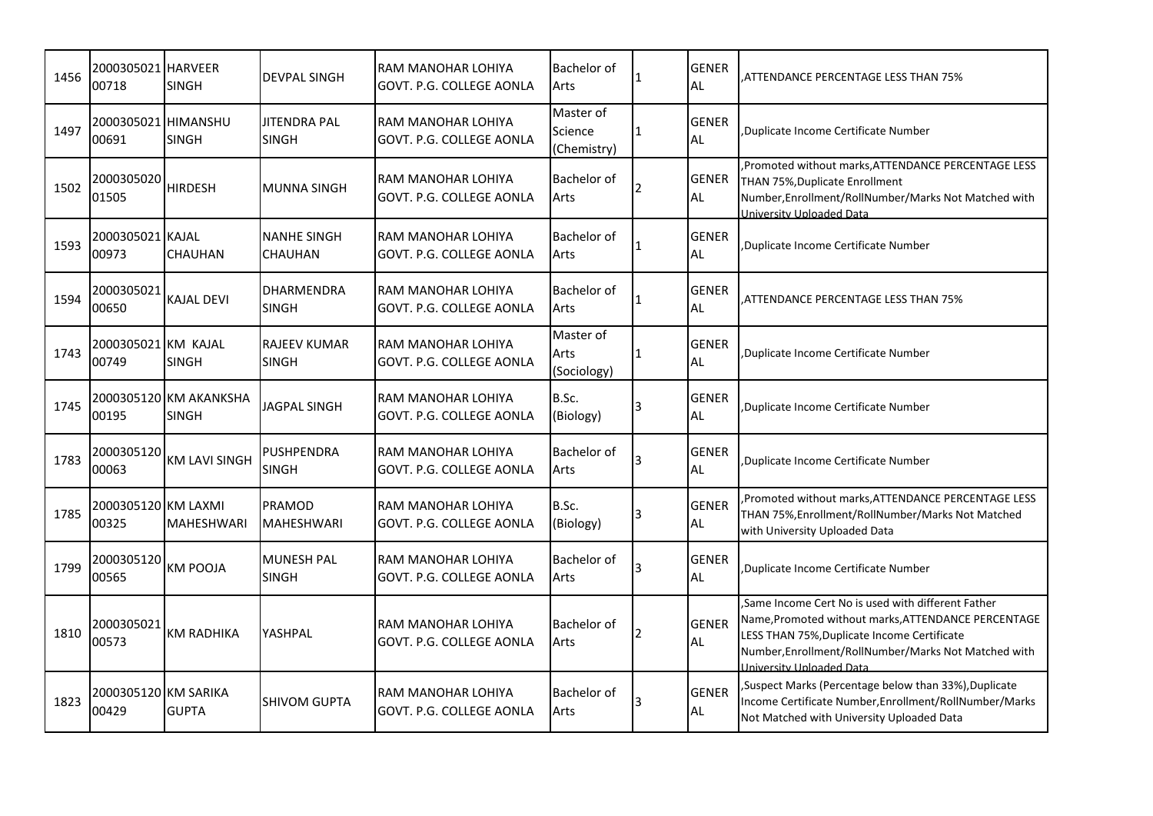| 1456 | 2000305021 HARVEER<br>00718           | <b>SINGH</b>                           | <b>DEVPAL SINGH</b>                  | RAM MANOHAR LOHIYA<br>GOVT. P.G. COLLEGE AONLA | Bachelor of<br>Arts                 |           | <b>GENER</b><br><b>AL</b> | ATTENDANCE PERCENTAGE LESS THAN 75%                                                                                                                                                                                                                |
|------|---------------------------------------|----------------------------------------|--------------------------------------|------------------------------------------------|-------------------------------------|-----------|---------------------------|----------------------------------------------------------------------------------------------------------------------------------------------------------------------------------------------------------------------------------------------------|
| 1497 | 2000305021 HIMANSHU<br>00691          | <b>SINGH</b>                           | <b>JITENDRA PAL</b><br><b>SINGH</b>  | RAM MANOHAR LOHIYA<br>GOVT. P.G. COLLEGE AONLA | Master of<br>Science<br>(Chemistry) |           | <b>GENER</b><br><b>AL</b> | Duplicate Income Certificate Number                                                                                                                                                                                                                |
| 1502 | 2000305020<br>01505                   | <b>HIRDESH</b>                         | IMUNNA SINGH                         | RAM MANOHAR LOHIYA<br>GOVT. P.G. COLLEGE AONLA | Bachelor of<br>Arts                 |           | <b>GENER</b><br><b>AL</b> | Promoted without marks, ATTENDANCE PERCENTAGE LESS<br>THAN 75%, Duplicate Enrollment<br>Number, Enrollment/RollNumber/Marks Not Matched with<br>University Uploaded Data                                                                           |
| 1593 | 2000305021 KAJAL<br>00973             | <b>CHAUHAN</b>                         | <b>NANHE SINGH</b><br><b>CHAUHAN</b> | RAM MANOHAR LOHIYA<br>GOVT. P.G. COLLEGE AONLA | Bachelor of<br>Arts                 |           | <b>GENER</b><br><b>AL</b> | Duplicate Income Certificate Number,                                                                                                                                                                                                               |
| 1594 | 2000305021<br>00650                   | <b>KAJAL DEVI</b>                      | <b>DHARMENDRA</b><br><b>SINGH</b>    | RAM MANOHAR LOHIYA<br>GOVT. P.G. COLLEGE AONLA | <b>Bachelor of</b><br>Arts          |           | <b>GENER</b><br>AL        | ATTENDANCE PERCENTAGE LESS THAN 75%,                                                                                                                                                                                                               |
| 1743 | 2000305021 <b>l</b> KM KAJAL<br>00749 | <b>SINGH</b>                           | <b>RAJEEV KUMAR</b><br><b>SINGH</b>  | RAM MANOHAR LOHIYA<br>GOVT. P.G. COLLEGE AONLA | Master of<br>Arts<br>(Sociology)    | $\vert$ 1 | <b>GENER</b><br>AL        | Duplicate Income Certificate Number                                                                                                                                                                                                                |
| 1745 | 00195                                 | 2000305120 KM AKANKSHA<br><b>SINGH</b> | JAGPAL SINGH                         | RAM MANOHAR LOHIYA<br>GOVT. P.G. COLLEGE AONLA | B.Sc.<br>(Biology)                  |           | <b>GENER</b><br><b>AL</b> | Duplicate Income Certificate Number,                                                                                                                                                                                                               |
| 1783 | 2000305120<br>00063                   | <b>KM LAVI SINGH</b>                   | PUSHPENDRA<br><b>SINGH</b>           | RAM MANOHAR LOHIYA<br>GOVT. P.G. COLLEGE AONLA | Bachelor of<br>Arts                 |           | <b>GENER</b><br><b>AL</b> | Duplicate Income Certificate Number                                                                                                                                                                                                                |
| 1785 | 2000305120 KM LAXMI<br>00325          | <b>MAHESHWARI</b>                      | PRAMOD<br><b>MAHESHWARI</b>          | RAM MANOHAR LOHIYA<br>GOVT. P.G. COLLEGE AONLA | B.Sc.<br>(Biology)                  |           | <b>GENER</b><br><b>AL</b> | Promoted without marks, ATTENDANCE PERCENTAGE LESS<br>THAN 75%, Enrollment/RollNumber/Marks Not Matched<br>with University Uploaded Data                                                                                                           |
| 1799 | 2000305120<br>00565                   | <b>KM POOJA</b>                        | <b>MUNESH PAL</b><br><b>SINGH</b>    | RAM MANOHAR LOHIYA<br>GOVT. P.G. COLLEGE AONLA | <b>Bachelor</b> of<br>Arts          |           | <b>GENER</b><br><b>AL</b> | Duplicate Income Certificate Number                                                                                                                                                                                                                |
| 1810 | 2000305021<br>00573                   | <b>KM RADHIKA</b>                      | YASHPAL                              | RAM MANOHAR LOHIYA<br>GOVT. P.G. COLLEGE AONLA | Bachelor of<br>Arts                 | 12        | <b>GENER</b><br><b>AL</b> | Same Income Cert No is used with different Father<br>Name, Promoted without marks, ATTENDANCE PERCENTAGE<br>LESS THAN 75%, Duplicate Income Certificate<br>Number, Enrollment/RollNumber/Marks Not Matched with<br><b>Iniversity Unloaded Data</b> |
| 1823 | 2000305120 KM SARIKA<br>00429         | <b>GUPTA</b>                           | <b>SHIVOM GUPTA</b>                  | RAM MANOHAR LOHIYA<br>GOVT. P.G. COLLEGE AONLA | <b>Bachelor of</b><br>Arts          |           | <b>GENER</b><br><b>AL</b> | , Suspect Marks (Percentage below than 33%), Duplicate<br>Income Certificate Number, Enrollment/RollNumber/Marks<br>Not Matched with University Uploaded Data                                                                                      |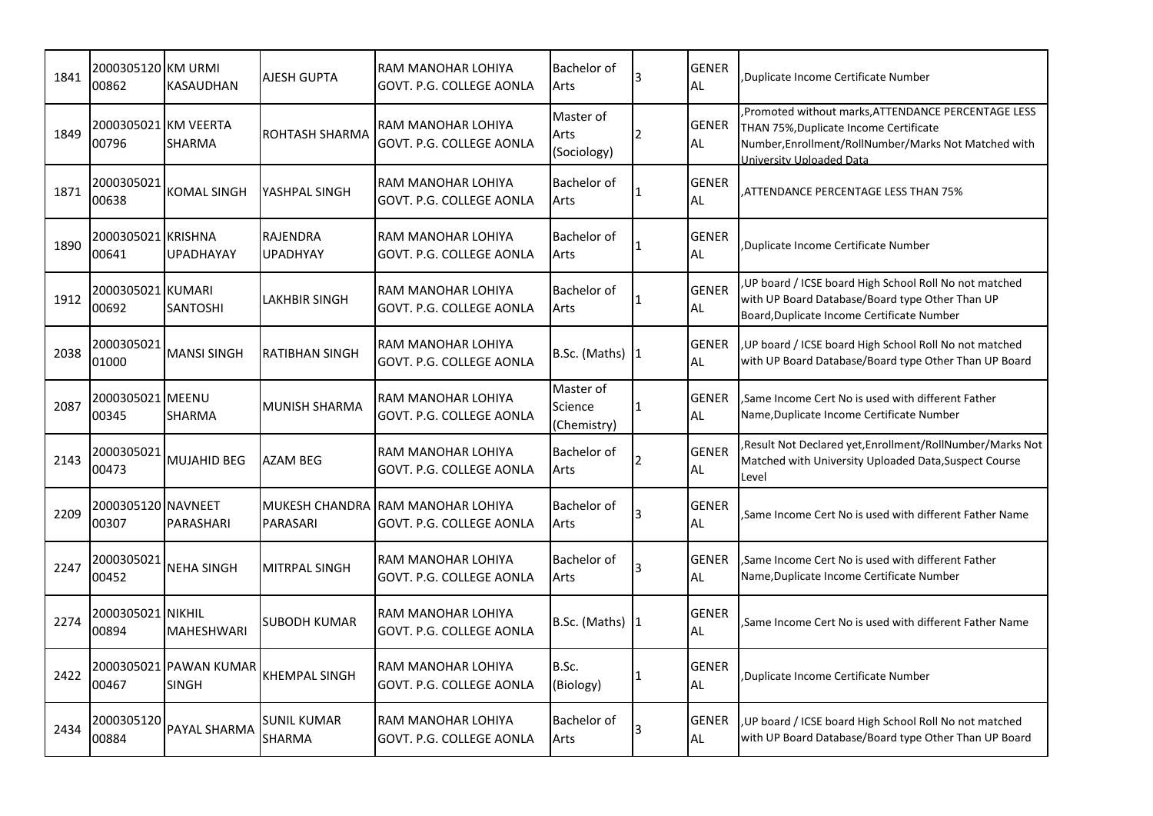| 1841 | 2000305120 KM URMI<br>00862   | <b>KASAUDHAN</b>                       | <b>AJESH GUPTA</b>           | RAM MANOHAR LOHIYA<br>GOVT. P.G. COLLEGE AONLA                | <b>Bachelor of</b><br>Arts          |     | <b>GENER</b><br><b>AL</b> | Duplicate Income Certificate Number                                                                                                                                              |
|------|-------------------------------|----------------------------------------|------------------------------|---------------------------------------------------------------|-------------------------------------|-----|---------------------------|----------------------------------------------------------------------------------------------------------------------------------------------------------------------------------|
| 1849 | 2000305021 KM VEERTA<br>00796 | <b>SHARMA</b>                          | <b>ROHTASH SHARMA</b>        | RAM MANOHAR LOHIYA<br>GOVT. P.G. COLLEGE AONLA                | Master of<br>Arts<br>(Sociology)    |     | <b>GENER</b><br>AL        | Promoted without marks, ATTENDANCE PERCENTAGE LESS<br>THAN 75%, Duplicate Income Certificate<br>Number, Enrollment/RollNumber/Marks Not Matched with<br>University Uploaded Data |
| 1871 | 2000305021<br>00638           | <b>KOMAL SINGH</b>                     | YASHPAL SINGH                | RAM MANOHAR LOHIYA<br>GOVT. P.G. COLLEGE AONLA                | Bachelor of<br>Arts                 | 1   | <b>GENER</b><br><b>AL</b> | ATTENDANCE PERCENTAGE LESS THAN 75%                                                                                                                                              |
| 1890 | 2000305021 KRISHNA<br>00641   | <b>UPADHAYAY</b>                       | RAJENDRA<br><b>UPADHYAY</b>  | RAM MANOHAR LOHIYA<br>GOVT. P.G. COLLEGE AONLA                | <b>Bachelor of</b><br>Arts          |     | <b>GENER</b><br><b>AL</b> | Duplicate Income Certificate Number                                                                                                                                              |
| 1912 | 2000305021 KUMARI<br>00692    | <b>SANTOSHI</b>                        | LAKHBIR SINGH                | RAM MANOHAR LOHIYA<br>GOVT. P.G. COLLEGE AONLA                | <b>Bachelor of</b><br>Arts          |     | <b>GENER</b><br><b>AL</b> | , UP board / ICSE board High School Roll No not matched<br>with UP Board Database/Board type Other Than UP<br>Board, Duplicate Income Certificate Number                         |
| 2038 | 2000305021<br>01000           | <b>MANSI SINGH</b>                     | <b>RATIBHAN SINGH</b>        | RAM MANOHAR LOHIYA<br>GOVT. P.G. COLLEGE AONLA                | B.Sc. (Maths) 1                     |     | <b>GENER</b><br><b>AL</b> | , UP board / ICSE board High School Roll No not matched<br>with UP Board Database/Board type Other Than UP Board                                                                 |
| 2087 | 2000305021 MEENU<br>00345     | <b>SHARMA</b>                          | MUNISH SHARMA                | RAM MANOHAR LOHIYA<br>GOVT. P.G. COLLEGE AONLA                | Master of<br>Science<br>(Chemistry) |     | <b>GENER</b><br><b>AL</b> | Same Income Cert No is used with different Father<br>Name, Duplicate Income Certificate Number                                                                                   |
| 2143 | 2000305021<br>00473           | <b>MUJAHID BEG</b>                     | <b>AZAM BEG</b>              | RAM MANOHAR LOHIYA<br>GOVT. P.G. COLLEGE AONLA                | <b>Bachelor of</b><br>Arts          |     | <b>GENER</b><br><b>AL</b> | Result Not Declared yet, Enrollment/RollNumber/Marks Not<br>Matched with University Uploaded Data, Suspect Course<br>Level                                                       |
| 2209 | 2000305120 NAVNEET<br>00307   | PARASHARI                              | PARASARI                     | MUKESH CHANDRA RAM MANOHAR LOHIYA<br>GOVT. P.G. COLLEGE AONLA | Bachelor of<br>Arts                 |     | <b>GENER</b><br><b>AL</b> | Same Income Cert No is used with different Father Name                                                                                                                           |
| 2247 | 2000305021<br>00452           | <b>NEHA SINGH</b>                      | MITRPAL SINGH                | RAM MANOHAR LOHIYA<br>GOVT. P.G. COLLEGE AONLA                | <b>Bachelor</b> of<br>Arts          |     | <b>GENER</b><br><b>AL</b> | Same Income Cert No is used with different Father<br>Name, Duplicate Income Certificate Number                                                                                   |
| 2274 | 2000305021 NIKHIL<br>00894    | <b>MAHESHWARI</b>                      | <b>SUBODH KUMAR</b>          | RAM MANOHAR LOHIYA<br>GOVT. P.G. COLLEGE AONLA                | B.Sc. (Maths) $ 1$                  |     | <b>GENER</b><br><b>AL</b> | Same Income Cert No is used with different Father Name                                                                                                                           |
| 2422 | 00467                         | 2000305021 PAWAN KUMAR<br><b>SINGH</b> | KHEMPAL SINGH                | RAM MANOHAR LOHIYA<br>GOVT. P.G. COLLEGE AONLA                | B.Sc.<br>(Biology)                  | l 1 | <b>GENER</b><br>AL        | Duplicate Income Certificate Number                                                                                                                                              |
| 2434 | 2000305120<br>00884           | PAYAL SHARMA                           | <b>SUNIL KUMAR</b><br>SHARMA | RAM MANOHAR LOHIYA<br>GOVT. P.G. COLLEGE AONLA                | <b>Bachelor</b> of<br>Arts          |     | <b>GENER</b><br><b>AL</b> | , UP board / ICSE board High School Roll No not matched<br>with UP Board Database/Board type Other Than UP Board                                                                 |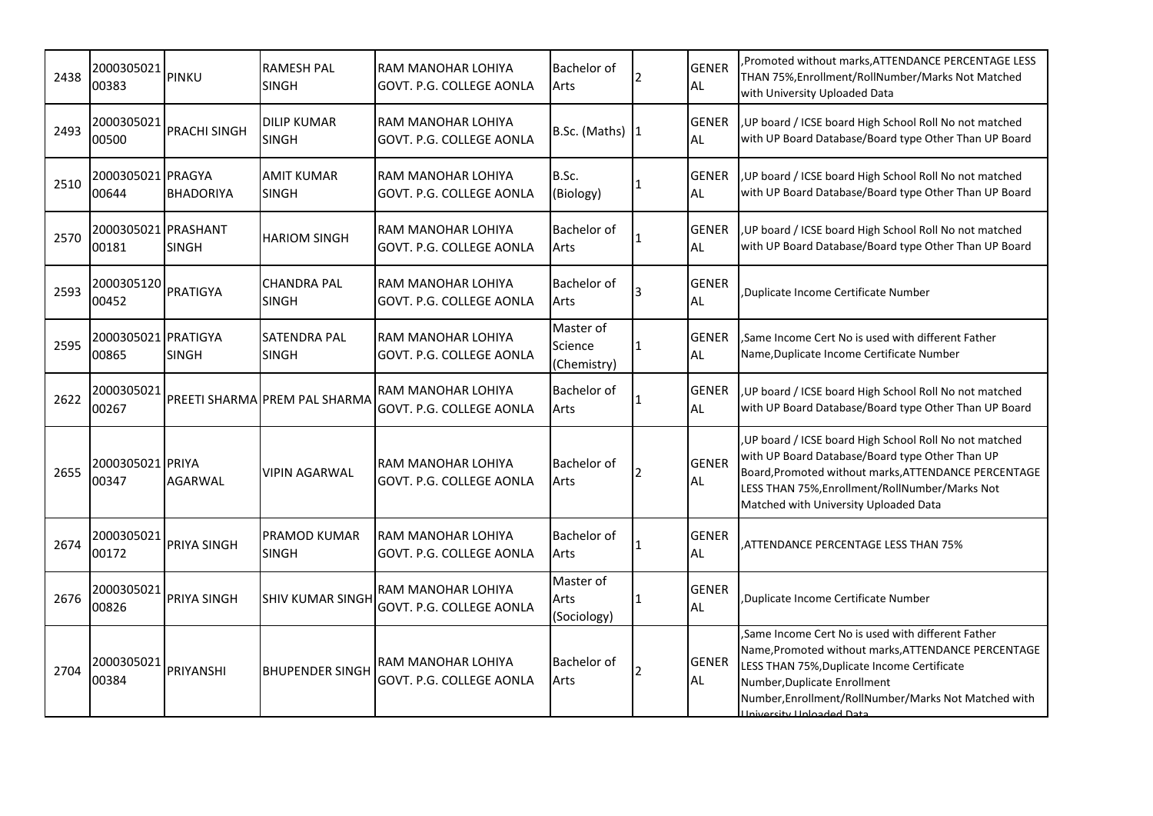| 2438 | 2000305021<br>00383          | <b>PINKU</b>        | <b>RAMESH PAL</b><br><b>SINGH</b>   | RAM MANOHAR LOHIYA<br>GOVT. P.G. COLLEGE AONLA | Bachelor of<br>Arts                 |   | <b>GENER</b><br><b>AL</b> | Promoted without marks, ATTENDANCE PERCENTAGE LESS<br>THAN 75%, Enrollment/RollNumber/Marks Not Matched<br>with University Uploaded Data                                                                                                                                    |
|------|------------------------------|---------------------|-------------------------------------|------------------------------------------------|-------------------------------------|---|---------------------------|-----------------------------------------------------------------------------------------------------------------------------------------------------------------------------------------------------------------------------------------------------------------------------|
| 2493 | 2000305021<br>00500          | <b>PRACHI SINGH</b> | <b>DILIP KUMAR</b><br><b>SINGH</b>  | RAM MANOHAR LOHIYA<br>GOVT. P.G. COLLEGE AONLA | B.Sc. (Maths) 1                     |   | <b>GENER</b><br><b>AL</b> | , UP board / ICSE board High School Roll No not matched<br>with UP Board Database/Board type Other Than UP Board                                                                                                                                                            |
| 2510 | 2000305021 PRAGYA<br>00644   | <b>BHADORIYA</b>    | <b>AMIT KUMAR</b><br><b>SINGH</b>   | RAM MANOHAR LOHIYA<br>GOVT. P.G. COLLEGE AONLA | B.Sc.<br>(Biology)                  |   | <b>GENER</b><br><b>AL</b> | , UP board / ICSE board High School Roll No not matched<br>with UP Board Database/Board type Other Than UP Board                                                                                                                                                            |
| 2570 | 2000305021 PRASHANT<br>00181 | <b>SINGH</b>        | <b>HARIOM SINGH</b>                 | RAM MANOHAR LOHIYA<br>GOVT. P.G. COLLEGE AONLA | <b>Bachelor of</b><br>Arts          |   | <b>GENER</b><br><b>AL</b> | UP board / ICSE board High School Roll No not matched<br>with UP Board Database/Board type Other Than UP Board                                                                                                                                                              |
| 2593 | 2000305120<br>00452          | PRATIGYA            | <b>CHANDRA PAL</b><br><b>SINGH</b>  | RAM MANOHAR LOHIYA<br>GOVT. P.G. COLLEGE AONLA | <b>Bachelor of</b><br>Arts          |   | <b>GENER</b><br><b>AL</b> | Duplicate Income Certificate Number                                                                                                                                                                                                                                         |
| 2595 | 2000305021 PRATIGYA<br>00865 | <b>SINGH</b>        | <b>SATENDRA PAL</b><br><b>SINGH</b> | RAM MANOHAR LOHIYA<br>GOVT. P.G. COLLEGE AONLA | Master of<br>Science<br>(Chemistry) |   | <b>GENER</b><br><b>AL</b> | Same Income Cert No is used with different Father<br>Name, Duplicate Income Certificate Number                                                                                                                                                                              |
| 2622 | 2000305021<br>00267          |                     | PREETI SHARMA PREM PAL SHARMA       | RAM MANOHAR LOHIYA<br>GOVT. P.G. COLLEGE AONLA | <b>Bachelor of</b><br>Arts          |   | <b>GENER</b><br><b>AL</b> | UP board / ICSE board High School Roll No not matched<br>with UP Board Database/Board type Other Than UP Board                                                                                                                                                              |
| 2655 | 2000305021 PRIYA<br>00347    | <b>AGARWAL</b>      | <b>VIPIN AGARWAL</b>                | RAM MANOHAR LOHIYA<br>GOVT. P.G. COLLEGE AONLA | <b>Bachelor</b> of<br>Arts          | 2 | <b>GENER</b><br><b>AL</b> | UP board / ICSE board High School Roll No not matched<br>with UP Board Database/Board type Other Than UP<br>Board, Promoted without marks, ATTENDANCE PERCENTAGE<br>LESS THAN 75%, Enrollment/RollNumber/Marks Not<br>Matched with University Uploaded Data                 |
| 2674 | 2000305021<br>00172          | <b>PRIYA SINGH</b>  | <b>PRAMOD KUMAR</b><br><b>SINGH</b> | RAM MANOHAR LOHIYA<br>GOVT. P.G. COLLEGE AONLA | Bachelor of<br>Arts                 |   | <b>GENER</b><br><b>AL</b> | ATTENDANCE PERCENTAGE LESS THAN 75%                                                                                                                                                                                                                                         |
| 2676 | 2000305021<br>00826          | PRIYA SINGH         | <b>SHIV KUMAR SINGH</b>             | RAM MANOHAR LOHIYA<br>GOVT. P.G. COLLEGE AONLA | Master of<br>Arts<br>(Sociology)    | 1 | <b>GENER</b><br><b>AL</b> | Duplicate Income Certificate Number                                                                                                                                                                                                                                         |
| 2704 | 2000305021<br>00384          | PRIYANSHI           | <b>BHUPENDER SINGH</b>              | RAM MANOHAR LOHIYA<br>GOVT. P.G. COLLEGE AONLA | <b>Bachelor</b> of<br>Arts          | 2 | <b>GENER</b><br><b>AL</b> | Same Income Cert No is used with different Father<br>Name, Promoted without marks, ATTENDANCE PERCENTAGE<br>LESS THAN 75%, Duplicate Income Certificate<br>Number, Duplicate Enrollment<br>Number, Enrollment/RollNumber/Marks Not Matched with<br>Iniversity Unloaded Data |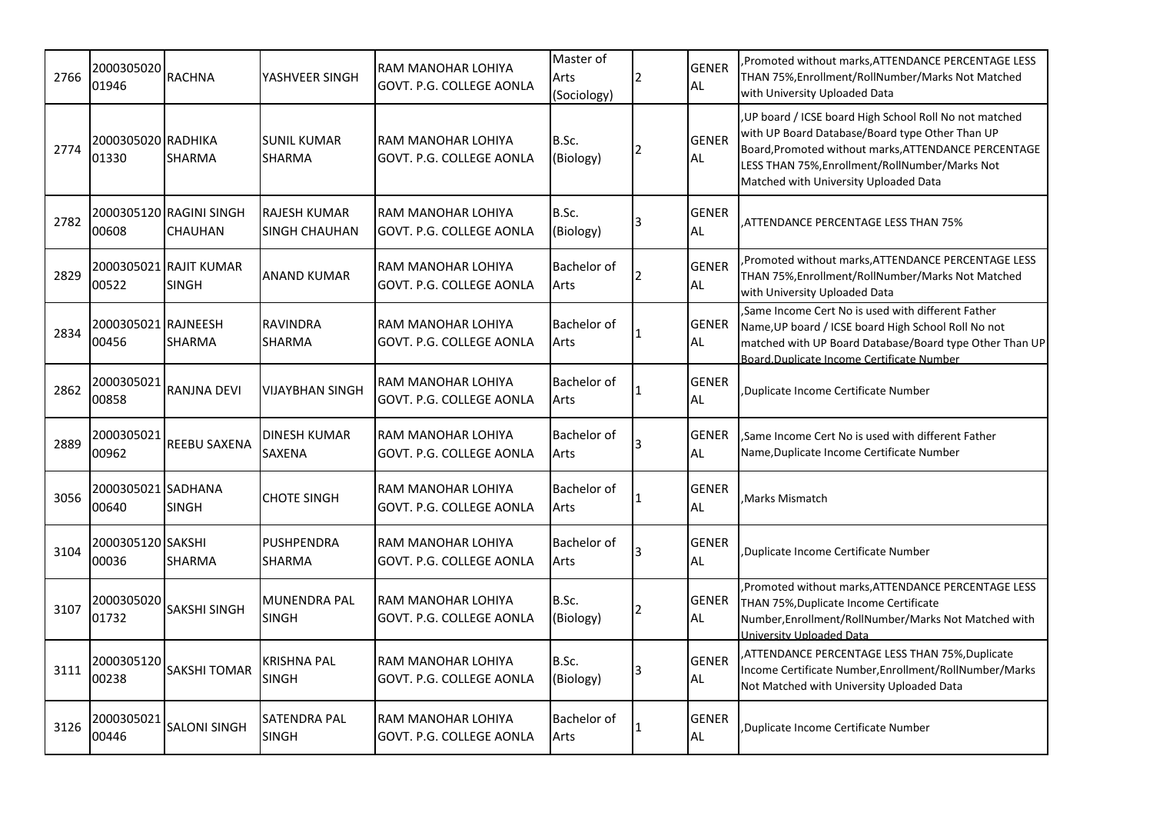| 2766 | 2000305020<br>01946          | <b>RACHNA</b>                          | YASHVEER SINGH                              | RAM MANOHAR LOHIYA<br>GOVT. P.G. COLLEGE AONLA | Master of<br>Arts<br>(Sociology) | <b>GENER</b><br>AL        | Promoted without marks, ATTENDANCE PERCENTAGE LESS<br>THAN 75%,Enrollment/RollNumber/Marks Not Matched<br>with University Uploaded Data                                                                                                                     |
|------|------------------------------|----------------------------------------|---------------------------------------------|------------------------------------------------|----------------------------------|---------------------------|-------------------------------------------------------------------------------------------------------------------------------------------------------------------------------------------------------------------------------------------------------------|
| 2774 | 2000305020 RADHIKA<br>01330  | <b>SHARMA</b>                          | SUNIL KUMAR<br><b>SHARMA</b>                | RAM MANOHAR LOHIYA<br>GOVT. P.G. COLLEGE AONLA | B.Sc.<br>(Biology)               | <b>GENER</b><br><b>AL</b> | UP board / ICSE board High School Roll No not matched<br>with UP Board Database/Board type Other Than UP<br>Board, Promoted without marks, ATTENDANCE PERCENTAGE<br>LESS THAN 75%, Enrollment/RollNumber/Marks Not<br>Matched with University Uploaded Data |
| 2782 | 00608                        | 2000305120 RAGINI SINGH<br>CHAUHAN     | <b>RAJESH KUMAR</b><br><b>SINGH CHAUHAN</b> | RAM MANOHAR LOHIYA<br>GOVT. P.G. COLLEGE AONLA | B.Sc.<br>(Biology)               | <b>GENER</b><br><b>AL</b> | ATTENDANCE PERCENTAGE LESS THAN 75%,                                                                                                                                                                                                                        |
| 2829 | 00522                        | 2000305021 RAJIT KUMAR<br><b>SINGH</b> | <b>ANAND KUMAR</b>                          | RAM MANOHAR LOHIYA<br>GOVT. P.G. COLLEGE AONLA | Bachelor of<br>Arts              | <b>GENER</b><br><b>AL</b> | Promoted without marks, ATTENDANCE PERCENTAGE LESS<br>THAN 75%, Enrollment/RollNumber/Marks Not Matched<br>with University Uploaded Data                                                                                                                    |
| 2834 | 2000305021 RAJNEESH<br>00456 | <b>SHARMA</b>                          | RAVINDRA<br>SHARMA                          | RAM MANOHAR LOHIYA<br>GOVT. P.G. COLLEGE AONLA | Bachelor of<br>Arts              | <b>GENER</b><br>AL        | Same Income Cert No is used with different Father.<br>Name, UP board / ICSE board High School Roll No not<br>matched with UP Board Database/Board type Other Than UP<br>Board.Duplicate Income Certificate Number                                           |
| 2862 | 2000305021<br>00858          | <b>RANJNA DEVI</b>                     | VIJAYBHAN SINGH                             | RAM MANOHAR LOHIYA<br>GOVT. P.G. COLLEGE AONLA | Bachelor of<br>Arts              | <b>GENER</b><br><b>AL</b> | Duplicate Income Certificate Number,                                                                                                                                                                                                                        |
| 2889 | 2000305021<br>00962          | <b>REEBU SAXENA</b>                    | DINESH KUMAR<br>SAXENA                      | RAM MANOHAR LOHIYA<br>GOVT. P.G. COLLEGE AONLA | Bachelor of<br>Arts              | <b>GENER</b><br><b>AL</b> | Same Income Cert No is used with different Father.<br>Name, Duplicate Income Certificate Number                                                                                                                                                             |
| 3056 | 2000305021 SADHANA<br>00640  | <b>SINGH</b>                           | <b>CHOTE SINGH</b>                          | RAM MANOHAR LOHIYA<br>GOVT. P.G. COLLEGE AONLA | Bachelor of<br>Arts              | <b>GENER</b><br><b>AL</b> | Marks Mismatch.                                                                                                                                                                                                                                             |
| 3104 | 2000305120 SAKSHI<br>00036   | <b>SHARMA</b>                          | <b>PUSHPENDRA</b><br>SHARMA                 | RAM MANOHAR LOHIYA<br>GOVT. P.G. COLLEGE AONLA | Bachelor of<br>Arts              | <b>GENER</b><br><b>AL</b> | Duplicate Income Certificate Number,                                                                                                                                                                                                                        |
| 3107 | 2000305020<br>01732          | <b>SAKSHI SINGH</b>                    | <b>MUNENDRA PAL</b><br><b>SINGH</b>         | RAM MANOHAR LOHIYA<br>GOVT. P.G. COLLEGE AONLA | B.Sc.<br>(Biology)               | <b>GENER</b><br><b>AL</b> | Promoted without marks, ATTENDANCE PERCENTAGE LESS<br>THAN 75%, Duplicate Income Certificate<br>Number, Enrollment/RollNumber/Marks Not Matched with<br>University Uploaded Data                                                                            |
| 3111 | 2000305120<br>00238          | <b>SAKSHI TOMAR</b>                    | KRISHNA PAL<br><b>SINGH</b>                 | RAM MANOHAR LOHIYA<br>GOVT. P.G. COLLEGE AONLA | B.Sc.<br>(Biology)               | <b>GENER</b><br><b>AL</b> | ATTENDANCE PERCENTAGE LESS THAN 75%,Duplicate<br>Income Certificate Number, Enrollment/RollNumber/Marks<br>Not Matched with University Uploaded Data                                                                                                        |
| 3126 | 2000305021<br>00446          | <b>SALONI SINGH</b>                    | SATENDRA PAL<br><b>SINGH</b>                | RAM MANOHAR LOHIYA<br>GOVT. P.G. COLLEGE AONLA | Bachelor of<br>Arts              | <b>GENER</b><br>AL        | Duplicate Income Certificate Number                                                                                                                                                                                                                         |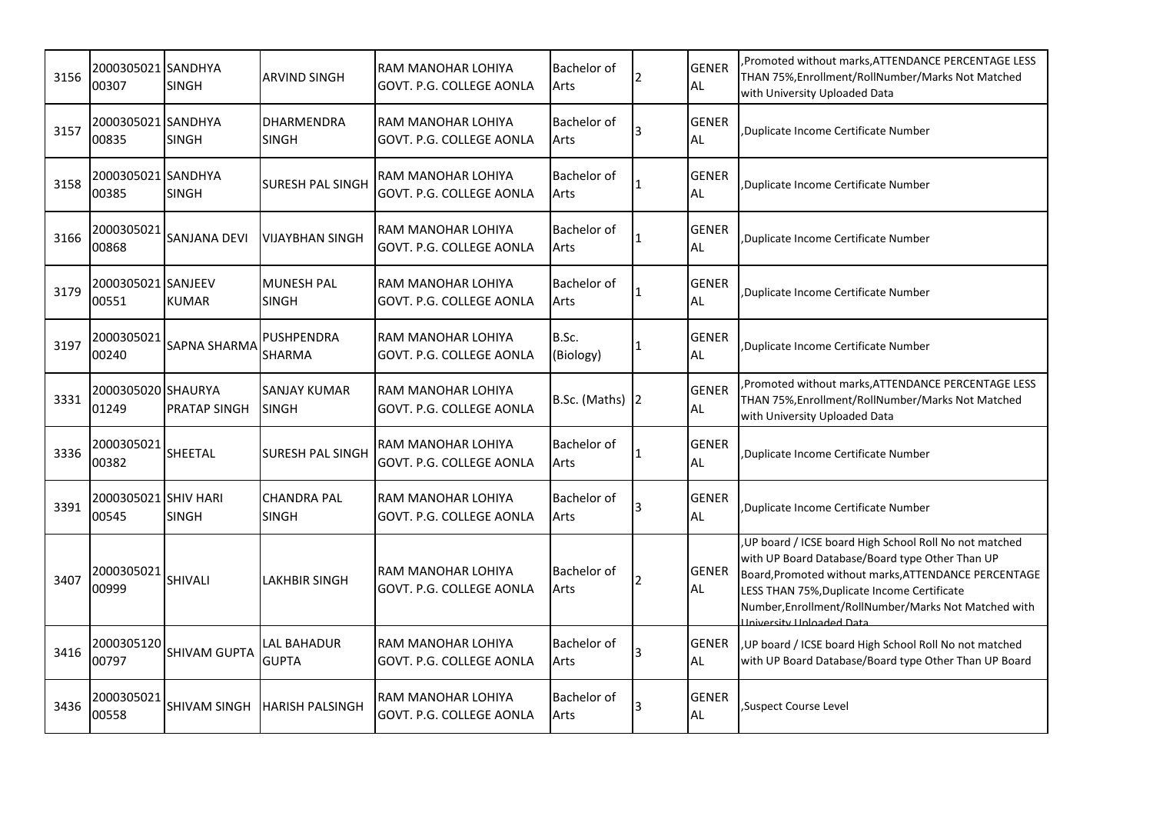| 3156 | 2000305021 SANDHYA<br>00307   | <b>SINGH</b>        | <b>ARVIND SINGH</b>                 | RAM MANOHAR LOHIYA<br>GOVT. P.G. COLLEGE AONLA | Bachelor of<br>Arts        |           | <b>GENER</b><br><b>AL</b> | Promoted without marks, ATTENDANCE PERCENTAGE LESS<br>THAN 75%, Enrollment/RollNumber/Marks Not Matched<br>with University Uploaded Data                                                                                                                                                               |
|------|-------------------------------|---------------------|-------------------------------------|------------------------------------------------|----------------------------|-----------|---------------------------|--------------------------------------------------------------------------------------------------------------------------------------------------------------------------------------------------------------------------------------------------------------------------------------------------------|
| 3157 | 2000305021 SANDHYA<br>00835   | <b>SINGH</b>        | <b>DHARMENDRA</b><br><b>SINGH</b>   | RAM MANOHAR LOHIYA<br>GOVT. P.G. COLLEGE AONLA | <b>Bachelor of</b><br>Arts |           | <b>GENER</b><br><b>AL</b> | Duplicate Income Certificate Number                                                                                                                                                                                                                                                                    |
| 3158 | 2000305021 SANDHYA<br>00385   | <b>SINGH</b>        | <b>SURESH PAL SINGH</b>             | RAM MANOHAR LOHIYA<br>GOVT. P.G. COLLEGE AONLA | <b>Bachelor of</b><br>Arts |           | <b>GENER</b><br><b>AL</b> | Duplicate Income Certificate Number                                                                                                                                                                                                                                                                    |
| 3166 | 2000305021<br>00868           | <b>SANJANA DEVI</b> | <b>VIJAYBHAN SINGH</b>              | RAM MANOHAR LOHIYA<br>GOVT. P.G. COLLEGE AONLA | <b>Bachelor of</b><br>Arts |           | <b>GENER</b><br><b>AL</b> | Duplicate Income Certificate Number                                                                                                                                                                                                                                                                    |
| 3179 | 2000305021 SANJEEV<br>00551   | <b>KUMAR</b>        | <b>MUNESH PAL</b><br><b>SINGH</b>   | RAM MANOHAR LOHIYA<br>GOVT. P.G. COLLEGE AONLA | <b>Bachelor of</b><br>Arts |           | <b>GENER</b><br><b>AL</b> | Duplicate Income Certificate Number                                                                                                                                                                                                                                                                    |
| 3197 | 2000305021<br>00240           | <b>SAPNA SHARMA</b> | PUSHPENDRA<br><b>SHARMA</b>         | RAM MANOHAR LOHIYA<br>GOVT. P.G. COLLEGE AONLA | B.Sc.<br>(Biology)         |           | <b>GENER</b><br><b>AL</b> | Duplicate Income Certificate Number                                                                                                                                                                                                                                                                    |
| 3331 | 2000305020 SHAURYA<br>01249   | <b>PRATAP SINGH</b> | <b>SANJAY KUMAR</b><br><b>SINGH</b> | RAM MANOHAR LOHIYA<br>GOVT. P.G. COLLEGE AONLA | B.Sc. (Maths) $ 2 $        |           | <b>GENER</b><br><b>AL</b> | Promoted without marks, ATTENDANCE PERCENTAGE LESS<br>THAN 75%, Enrollment/RollNumber/Marks Not Matched<br>with University Uploaded Data                                                                                                                                                               |
| 3336 | 2000305021<br>00382           | SHEETAL             | <b>SURESH PAL SINGH</b>             | RAM MANOHAR LOHIYA<br>GOVT. P.G. COLLEGE AONLA | <b>Bachelor of</b><br>Arts | $\vert$ 1 | <b>GENER</b><br><b>AL</b> | Duplicate Income Certificate Number                                                                                                                                                                                                                                                                    |
| 3391 | 2000305021 SHIV HARI<br>00545 | <b>SINGH</b>        | <b>CHANDRA PAL</b><br><b>SINGH</b>  | RAM MANOHAR LOHIYA<br>GOVT. P.G. COLLEGE AONLA | <b>Bachelor of</b><br>Arts |           | <b>GENER</b><br><b>AL</b> | Duplicate Income Certificate Number                                                                                                                                                                                                                                                                    |
| 3407 | 2000305021<br>00999           | SHIVALI             | LAKHBIR SINGH                       | RAM MANOHAR LOHIYA<br>GOVT. P.G. COLLEGE AONLA | Bachelor of<br>Arts        |           | <b>GENER</b><br>AL        | , UP board / ICSE board High School Roll No not matched<br>with UP Board Database/Board type Other Than UP<br>Board, Promoted without marks, ATTENDANCE PERCENTAGE<br>LESS THAN 75%, Duplicate Income Certificate<br>Number, Enrollment/RollNumber/Marks Not Matched with<br>Liniversity Unloaded Data |
| 3416 | 2000305120<br>00797           | <b>SHIVAM GUPTA</b> | LAL BAHADUR<br><b>GUPTA</b>         | RAM MANOHAR LOHIYA<br>GOVT. P.G. COLLEGE AONLA | <b>Bachelor of</b><br>Arts |           | <b>GENER</b><br><b>AL</b> | UP board / ICSE board High School Roll No not matched<br>with UP Board Database/Board type Other Than UP Board                                                                                                                                                                                         |
| 3436 | 2000305021<br>00558           | <b>SHIVAM SINGH</b> | <b>HARISH PALSINGH</b>              | RAM MANOHAR LOHIYA<br>GOVT. P.G. COLLEGE AONLA | <b>Bachelor</b> of<br>Arts |           | <b>GENER</b><br><b>AL</b> | Suspect Course Level                                                                                                                                                                                                                                                                                   |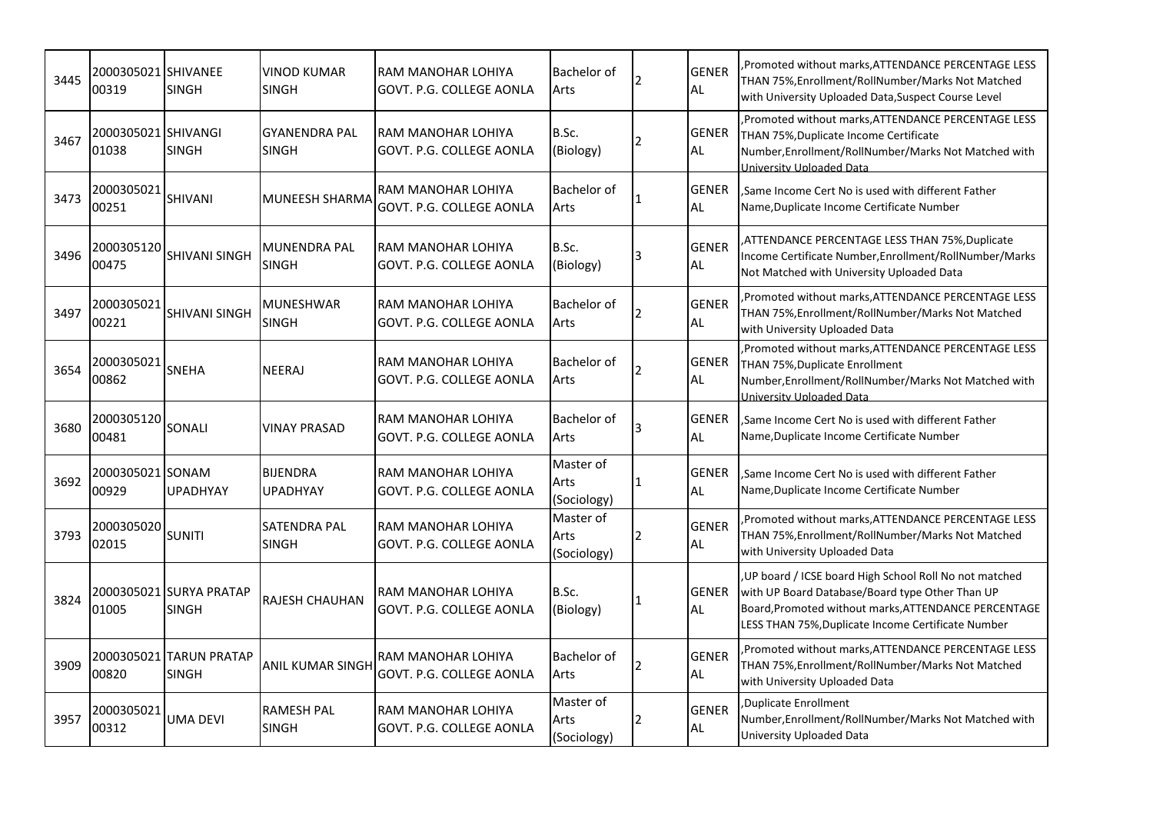| 3445 | 00319                        | <b>SINGH</b>                            | VINOD KUMAR<br><b>SINGH</b>          | RAM MANOHAR LOHIYA<br>GOVT. P.G. COLLEGE AONLA | Bachelor of<br>Arts              |     | <b>GENER</b><br><b>AL</b> | Promoted without marks, ATTENDANCE PERCENTAGE LESS<br>THAN 75%, Enrollment/RollNumber/Marks Not Matched<br>with University Uploaded Data, Suspect Course Level                                                           |
|------|------------------------------|-----------------------------------------|--------------------------------------|------------------------------------------------|----------------------------------|-----|---------------------------|--------------------------------------------------------------------------------------------------------------------------------------------------------------------------------------------------------------------------|
| 3467 | 2000305021 SHIVANGI<br>01038 | <b>SINGH</b>                            | <b>GYANENDRA PAL</b><br><b>SINGH</b> | RAM MANOHAR LOHIYA<br>GOVT. P.G. COLLEGE AONLA | B.Sc.<br>(Biology)               |     | <b>GENER</b><br><b>AL</b> | , Promoted without marks, ATTENDANCE PERCENTAGE LESS<br>THAN 75%, Duplicate Income Certificate<br>Number, Enrollment/RollNumber/Marks Not Matched with<br>University Uploaded Data                                       |
| 3473 | 2000305021<br>00251          | <b>SHIVANI</b>                          | <b>MUNEESH SHARMA</b>                | RAM MANOHAR LOHIYA<br>GOVT. P.G. COLLEGE AONLA | Bachelor of<br>Arts              |     | <b>GENER</b><br><b>AL</b> | ,Same Income Cert No is used with different Father<br>Name, Duplicate Income Certificate Number                                                                                                                          |
| 3496 | 2000305120<br>00475          | <b>SHIVANI SINGH</b>                    | MUNENDRA PAL<br><b>SINGH</b>         | RAM MANOHAR LOHIYA<br>GOVT. P.G. COLLEGE AONLA | B.Sc.<br>(Biology)               |     | <b>GENER</b><br>AL        | ATTENDANCE PERCENTAGE LESS THAN 75%, Duplicate<br>Income Certificate Number, Enrollment/RollNumber/Marks<br>Not Matched with University Uploaded Data                                                                    |
| 3497 | 2000305021<br>00221          | <b>SHIVANI SINGH</b>                    | MUNESHWAR<br><b>SINGH</b>            | RAM MANOHAR LOHIYA<br>GOVT. P.G. COLLEGE AONLA | Bachelor of<br>Arts              |     | <b>GENER</b><br><b>AL</b> | Promoted without marks, ATTENDANCE PERCENTAGE LESS<br>THAN 75%, Enrollment/RollNumber/Marks Not Matched<br>with University Uploaded Data                                                                                 |
| 3654 | 2000305021<br>00862          | <b>SNEHA</b>                            | NEERAJ                               | RAM MANOHAR LOHIYA<br>GOVT. P.G. COLLEGE AONLA | Bachelor of<br>Arts              |     | <b>GENER</b><br><b>AL</b> | , Promoted without marks, ATTENDANCE PERCENTAGE LESS<br>THAN 75%, Duplicate Enrollment<br>Number, Enrollment/RollNumber/Marks Not Matched with<br>University Uploaded Data                                               |
| 3680 | 2000305120<br>00481          | SONALI                                  | <b>VINAY PRASAD</b>                  | RAM MANOHAR LOHIYA<br>GOVT. P.G. COLLEGE AONLA | Bachelor of<br>Arts              |     | <b>GENER</b><br><b>AL</b> | Same Income Cert No is used with different Father<br>Name, Duplicate Income Certificate Number                                                                                                                           |
| 3692 | 2000305021 SONAM<br>00929    | <b>UPADHYAY</b>                         | <b>BIJENDRA</b><br><b>UPADHYAY</b>   | RAM MANOHAR LOHIYA<br>GOVT. P.G. COLLEGE AONLA | Master of<br>Arts<br>(Sociology) | l 1 | <b>GENER</b><br><b>AL</b> | Same Income Cert No is used with different Father<br>Name, Duplicate Income Certificate Number                                                                                                                           |
| 3793 | 2000305020<br>02015          | <b>SUNITI</b>                           | <b>SATENDRA PAL</b><br><b>SINGH</b>  | RAM MANOHAR LOHIYA<br>GOVT. P.G. COLLEGE AONLA | Master of<br>Arts<br>(Sociology) | 2   | <b>GENER</b><br><b>AL</b> | Promoted without marks, ATTENDANCE PERCENTAGE LESS<br>THAN 75%, Enrollment/RollNumber/Marks Not Matched<br>with University Uploaded Data                                                                                 |
| 3824 | 01005                        | 2000305021 SURYA PRATAP<br><b>SINGH</b> | <b>RAJESH CHAUHAN</b>                | RAM MANOHAR LOHIYA<br>GOVT. P.G. COLLEGE AONLA | B.Sc.<br>(Biology)               |     | <b>GENER</b><br>AL.       | , UP board / ICSE board High School Roll No not matched<br>with UP Board Database/Board type Other Than UP<br>Board, Promoted without marks, ATTENDANCE PERCENTAGE<br>LESS THAN 75%, Duplicate Income Certificate Number |
| 3909 | 00820                        | 2000305021 TARUN PRATAP<br><b>SINGH</b> | <b>ANIL KUMAR SINGH</b>              | RAM MANOHAR LOHIYA<br>GOVT. P.G. COLLEGE AONLA | Bachelor of<br>Arts              |     | <b>GENER</b><br>AL.       | Promoted without marks, ATTENDANCE PERCENTAGE LESS<br>THAN 75%, Enrollment/RollNumber/Marks Not Matched<br>with University Uploaded Data                                                                                 |
| 3957 | 2000305021<br>00312          | <b>UMA DEVI</b>                         | <b>RAMESH PAL</b><br><b>SINGH</b>    | RAM MANOHAR LOHIYA<br>GOVT. P.G. COLLEGE AONLA | Master of<br>Arts<br>(Sociology) |     | <b>GENER</b><br><b>AL</b> | Duplicate Enrollment<br>Number, Enrollment/RollNumber/Marks Not Matched with<br>University Uploaded Data                                                                                                                 |